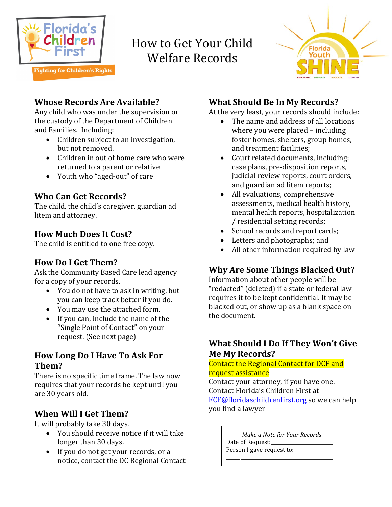

# How to Get Your Child Welfare Records



## **Whose Records Are Available?**

Any child who was under the supervision or the custody of the Department of Children and Families. Including:

- Children subject to an investigation, but not removed.
- Children in out of home care who were returned to a parent or relative
- Youth who "aged-out" of care

## **Who Can Get Records?**

The child, the child's caregiver, guardian ad litem and attorney.

#### **How Much Does It Cost?**

The child is entitled to one free copy.

## **How Do I Get Them?**

Ask the Community Based Care lead agency for a copy of your records.

- You do not have to ask in writing, but you can keep track better if you do.
- You may use the attached form.
- If you can, include the name of the "Single Point of Contact" on your request. (See next page)

#### **How Long Do I Have To Ask For Them?**

There is no specific time frame. The law now requires that your records be kept until you are 30 years old.

## **When Will I Get Them?**

It will probably take 30 days.

- You should receive notice if it will take longer than 30 days.
- If you do not get your records, or a notice, contact the DC Regional Contact

# **What Should Be In My Records?**

At the very least, your records should include:

- The name and address of all locations where you were placed – including foster homes, shelters, group homes, and treatment facilities;
- Court related documents, including: case plans, pre-disposition reports, judicial review reports, court orders, and guardian ad litem reports;
- All evaluations, comprehensive assessments, medical health history, mental health reports, hospitalization / residential setting records;
- School records and report cards;
- Letters and photographs; and
- All other information required by law

## **Why Are Some Things Blacked Out?**

Information about other people will be "redacted" (deleted) if a state or federal law requires it to be kept confidential. It may be blacked out, or show up as a blank space on the document.

#### **What Should I Do If They Won't Give Me My Records?**

Contact the Regional Contact for DCF and request assistance

Contact your attorney, if you have one. Contact Florida's Children First at [FCF@floridaschildrenfirst.org](mailto:jffy@floridaschildrenfirst.org) so we can help you find a lawyer

> *Make a Note for Your Records* Date of Request: Person I gave request to:

\_\_\_\_\_\_\_\_\_\_\_\_\_\_\_\_\_\_\_\_\_\_\_\_\_\_\_\_\_\_\_\_\_\_\_\_\_\_\_\_\_\_\_\_\_